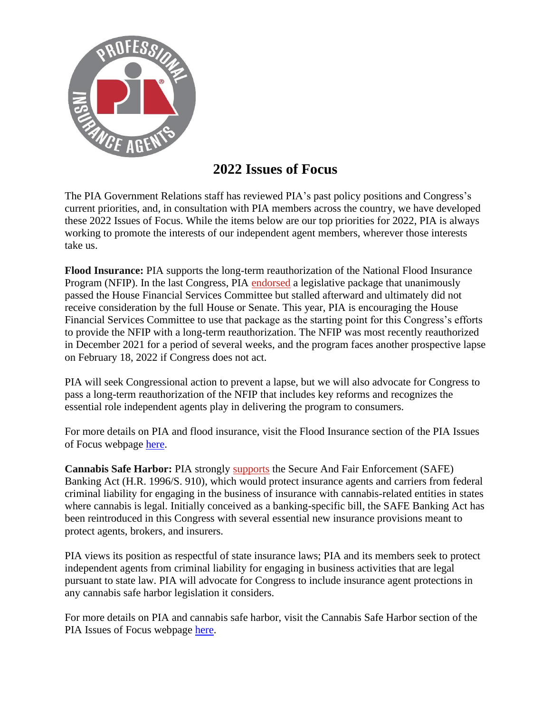

## **2022 Issues of Focus**

The PIA Government Relations staff has reviewed PIA's past policy positions and Congress's current priorities, and, in consultation with PIA members across the country, we have developed these 2022 Issues of Focus. While the items below are our top priorities for 2022, PIA is always working to promote the interests of our independent agent members, wherever those interests take us.

**Flood Insurance:** PIA supports the long-term reauthorization of the National Flood Insurance Program (NFIP). In the last Congress, PIA [endorsed](https://piaadvocacy.com/2019/06/12/house-committee-passes-pia-supported-flood-reauthorization/) a legislative package that unanimously passed the House Financial Services Committee but stalled afterward and ultimately did not receive consideration by the full House or Senate. This year, PIA is encouraging the House Financial Services Committee to use that package as the starting point for this Congress's efforts to provide the NFIP with a long-term reauthorization. The NFIP was most recently reauthorized in December 2021 for a period of several weeks, and the program faces another prospective lapse on February 18, 2022 if Congress does not act.

PIA will seek Congressional action to prevent a lapse, but we will also advocate for Congress to pass a long-term reauthorization of the NFIP that includes key reforms and recognizes the essential role independent agents play in delivering the program to consumers.

For more details on PIA and flood insurance, visit the Flood Insurance section of the PIA Issues of Focus webpage [here.](https://www.pianational.org/advocacy/issues-of-focus/Flood-Insurance-94897fbd-d5a4-41df-8619-7b31eb221d12)

**Cannabis Safe Harbor:** PIA strongly [supports](https://piaadvocacy.com/2021/03/18/pia-supports-cannabis-safe-harbor-legislation/) the Secure And Fair Enforcement (SAFE) Banking Act (H.R. 1996/S. 910), which would protect insurance agents and carriers from federal criminal liability for engaging in the business of insurance with cannabis-related entities in states where cannabis is legal. Initially conceived as a banking-specific bill, the SAFE Banking Act has been reintroduced in this Congress with several essential new insurance provisions meant to protect agents, brokers, and insurers.

PIA views its position as respectful of state insurance laws; PIA and its members seek to protect independent agents from criminal liability for engaging in business activities that are legal pursuant to state law. PIA will advocate for Congress to include insurance agent protections in any cannabis safe harbor legislation it considers.

For more details on PIA and cannabis safe harbor, visit the Cannabis Safe Harbor section of the PIA Issues of Focus webpage [here.](https://www.pianational.org/advocacy/issues-of-focus/cannabis-safe-harbor)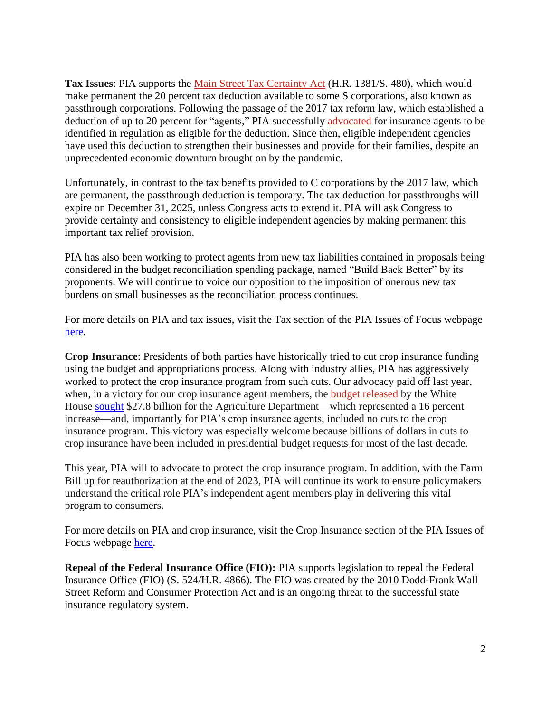**Tax Issues**: PIA supports the [Main Street Tax Certainty Act](https://piaadvocacy.com/2021/02/26/pia-priority-permanent-tax-relief-for-passthrough-entities-introduced/) (H.R. 1381/S. 480), which would make permanent the 20 percent tax deduction available to some S corporations, also known as passthrough corporations. Following the passage of the 2017 tax reform law, which established a deduction of up to 20 percent for "agents," PIA successfully [advocated](https://piaadvocacy.com/2019/01/22/twenty-percent-tax-deduction-available-to-insurance-agents/) for insurance agents to be identified in regulation as eligible for the deduction. Since then, eligible independent agencies have used this deduction to strengthen their businesses and provide for their families, despite an unprecedented economic downturn brought on by the pandemic.

Unfortunately, in contrast to the tax benefits provided to C corporations by the 2017 law, which are permanent, the passthrough deduction is temporary. The tax deduction for passthroughs will expire on December 31, 2025, unless Congress acts to extend it. PIA will ask Congress to provide certainty and consistency to eligible independent agencies by making permanent this important tax relief provision.

PIA has also been working to protect agents from new tax liabilities contained in proposals being considered in the budget reconciliation spending package, named "Build Back Better" by its proponents. We will continue to voice our opposition to the imposition of onerous new tax burdens on small businesses as the reconciliation process continues.

For more details on PIA and tax issues, visit the Tax section of the PIA Issues of Focus webpage [here.](https://www.pianational.org/advocacy/issues-of-focus/tax-relief-passthrough)

**Crop Insurance**: Presidents of both parties have historically tried to cut crop insurance funding using the budget and appropriations process. Along with industry allies, PIA has aggressively worked to protect the crop insurance program from such cuts. Our advocacy paid off last year, when, in a victory for our crop insurance agent members, the [budget released](https://www.whitehouse.gov/omb/budget/) by the White House [sought](https://www.whitehouse.gov/wp-content/uploads/2021/04/FY2022-Discretionary-Request.pdf) \$27.8 billion for the Agriculture Department—which represented a 16 percent increase—and, importantly for PIA's crop insurance agents, included no cuts to the crop insurance program. This victory was especially welcome because billions of dollars in cuts to crop insurance have been included in presidential budget requests for most of the last decade.

This year, PIA will to advocate to protect the crop insurance program. In addition, with the Farm Bill up for reauthorization at the end of 2023, PIA will continue its work to ensure policymakers understand the critical role PIA's independent agent members play in delivering this vital program to consumers.

For more details on PIA and crop insurance, visit the Crop Insurance section of the PIA Issues of Focus webpage [here.](https://www.pianational.org/advocacy/issues-of-focus/Crop-Insurance-8cc08093-a61c-495a-80c5-cd2be65ee113)

**Repeal of the Federal Insurance Office (FIO):** PIA supports legislation to repeal the Federal Insurance Office (FIO) (S. 524/H.R. 4866). The FIO was created by the 2010 Dodd-Frank Wall Street Reform and Consumer Protection Act and is an ongoing threat to the successful state insurance regulatory system.